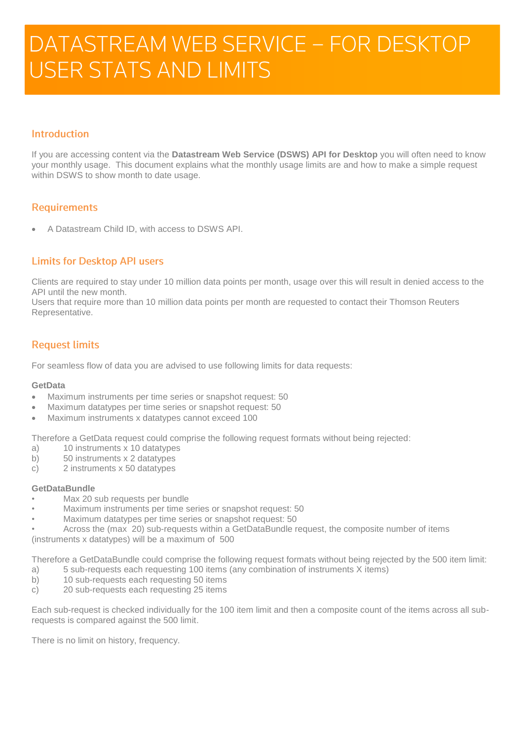# DATASTREAM WEB SERVICE - FOR DESKTOP **USER STATS AND LIMITS**

# Introduction

If you are accessing content via the **Datastream Web Service (DSWS) API for Desktop** you will often need to know your monthly usage. This document explains what the monthly usage limits are and how to make a simple request within DSWS to show month to date usage.

# **Requirements**

A Datastream Child ID, with access to DSWS API.

## **Limits for Desktop API users**

Clients are required to stay under 10 million data points per month, usage over this will result in denied access to the API until the new month.

Users that require more than 10 million data points per month are requested to contact their Thomson Reuters Representative.

## **Request limits**

For seamless flow of data you are advised to use following limits for data requests:

#### **GetData**

- Maximum instruments per time series or snapshot request: 50
- Maximum datatypes per time series or snapshot request: 50
- Maximum instruments x datatypes cannot exceed 100

Therefore a GetData request could comprise the following request formats without being rejected:

- a) 10 instruments x 10 datatypes
- b) 50 instruments x 2 datatypes
- c) 2 instruments x 50 datatypes

#### **GetDataBundle**

- Max 20 sub requests per bundle
- Maximum instruments per time series or snapshot request: 50
- Maximum datatypes per time series or snapshot request: 50

• Across the (max 20) sub-requests within a GetDataBundle request, the composite number of items (instruments x datatypes) will be a maximum of 500

Therefore a GetDataBundle could comprise the following request formats without being rejected by the 500 item limit:

- a) 5 sub-requests each requesting 100 items (any combination of instruments X items)
- b) 10 sub-requests each requesting 50 items
- c) 20 sub-requests each requesting 25 items

Each sub-request is checked individually for the 100 item limit and then a composite count of the items across all subrequests is compared against the 500 limit.

There is no limit on history, frequency.